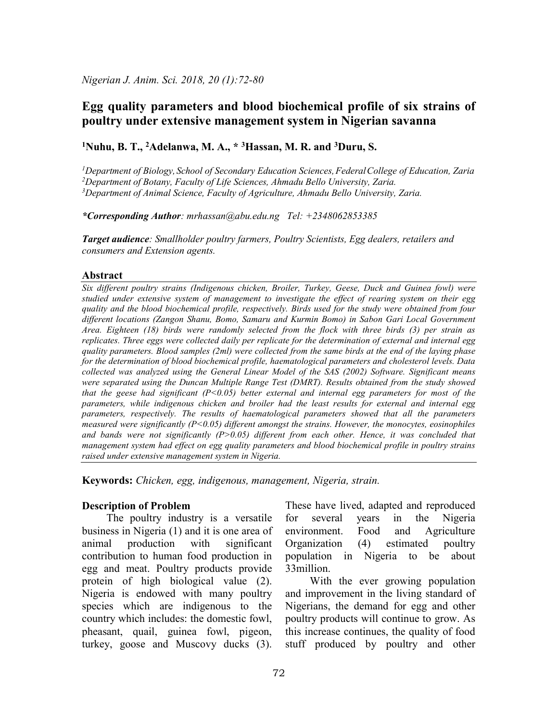# Egg quality parameters and blood biochemical profile of six strains of poultry under extensive management system in Nigerian savanna

### <sup>1</sup>Nuhu, B. T., <sup>2</sup>Adelanwa, M. A.,  $*$  <sup>3</sup>Hassan, M. R. and <sup>3</sup>Duru, S.

<sup>1</sup>Department of Biology, School of Secondary Education Sciences, Federal College of Education, Zaria <sup>2</sup>Department of Botany, Faculty of Life Sciences, Ahmadu Bello University, Zaria.  $3$ Department of Animal Science, Faculty of Agriculture, Ahmadu Bello University, Zaria.

\*Corresponding Author: mrhassan@abu.edu.ng Tel: +2348062853385

Target audience: Smallholder poultry farmers, Poultry Scientists, Egg dealers, retailers and consumers and Extension agents.

#### Abstract

Six different poultry strains (Indigenous chicken, Broiler, Turkey, Geese, Duck and Guinea fowl) were studied under extensive system of management to investigate the effect of rearing system on their egg quality and the blood biochemical profile, respectively. Birds used for the study were obtained from four different locations (Zangon Shanu, Bomo, Samaru and Kurmin Bomo) in Sabon Gari Local Government Area. Eighteen (18) birds were randomly selected from the flock with three birds (3) per strain as replicates. Three eggs were collected daily per replicate for the determination of external and internal egg quality parameters. Blood samples (2ml) were collected from the same birds at the end of the laying phase for the determination of blood biochemical profile, haematological parameters and cholesterol levels. Data collected was analyzed using the General Linear Model of the SAS (2002) Software. Significant means were separated using the Duncan Multiple Range Test (DMRT). Results obtained from the study showed that the geese had significant  $(P<0.05)$  better external and internal egg parameters for most of the parameters, while indigenous chicken and broiler had the least results for external and internal egg parameters, respectively. The results of haematological parameters showed that all the parameters measured were significantly  $(P<0.05)$  different amongst the strains. However, the monocytes, eosinophiles and bands were not significantly  $(P>0.05)$  different from each other. Hence, it was concluded that management system had effect on egg quality parameters and blood biochemical profile in poultry strains raised under extensive management system in Nigeria.

Keywords: Chicken, egg, indigenous, management, Nigeria, strain.

### Description of Problem

 The poultry industry is a versatile business in Nigeria (1) and it is one area of animal production with significant contribution to human food production in egg and meat. Poultry products provide protein of high biological value (2). Nigeria is endowed with many poultry species which are indigenous to the country which includes: the domestic fowl, pheasant, quail, guinea fowl, pigeon, turkey, goose and Muscovy ducks (3).

These have lived, adapted and reproduced for several years in the Nigeria environment. Food and Agriculture Organization (4) estimated poultry population in Nigeria to be about 33million.

 With the ever growing population and improvement in the living standard of Nigerians, the demand for egg and other poultry products will continue to grow. As this increase continues, the quality of food stuff produced by poultry and other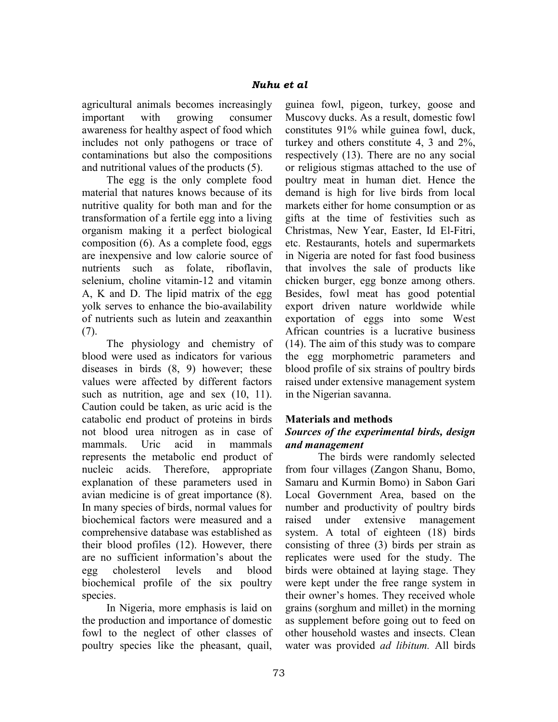agricultural animals becomes increasingly important with growing consumer awareness for healthy aspect of food which includes not only pathogens or trace of contaminations but also the compositions and nutritional values of the products (5).

 The egg is the only complete food material that natures knows because of its nutritive quality for both man and for the transformation of a fertile egg into a living organism making it a perfect biological composition (6). As a complete food, eggs are inexpensive and low calorie source of nutrients such as folate, riboflavin, selenium, choline vitamin-12 and vitamin A, K and D. The lipid matrix of the egg yolk serves to enhance the bio-availability of nutrients such as lutein and zeaxanthin (7).

 The physiology and chemistry of blood were used as indicators for various diseases in birds (8, 9) however; these values were affected by different factors such as nutrition, age and sex  $(10, 11)$ . Caution could be taken, as uric acid is the catabolic end product of proteins in birds not blood urea nitrogen as in case of mammals. Uric acid in mammals represents the metabolic end product of nucleic acids. Therefore, appropriate explanation of these parameters used in avian medicine is of great importance (8). In many species of birds, normal values for biochemical factors were measured and a comprehensive database was established as their blood profiles (12). However, there are no sufficient information's about the egg cholesterol levels and blood biochemical profile of the six poultry species.

 In Nigeria, more emphasis is laid on the production and importance of domestic fowl to the neglect of other classes of poultry species like the pheasant, quail,

guinea fowl, pigeon, turkey, goose and Muscovy ducks. As a result, domestic fowl constitutes 91% while guinea fowl, duck, turkey and others constitute 4, 3 and 2%, respectively (13). There are no any social or religious stigmas attached to the use of poultry meat in human diet. Hence the demand is high for live birds from local markets either for home consumption or as gifts at the time of festivities such as Christmas, New Year, Easter, Id El-Fitri, etc. Restaurants, hotels and supermarkets in Nigeria are noted for fast food business that involves the sale of products like chicken burger, egg bonze among others. Besides, fowl meat has good potential export driven nature worldwide while exportation of eggs into some West African countries is a lucrative business (14). The aim of this study was to compare the egg morphometric parameters and blood profile of six strains of poultry birds raised under extensive management system in the Nigerian savanna.

## Materials and methods

## Sources of the experimental birds, design and management

The birds were randomly selected from four villages (Zangon Shanu, Bomo, Samaru and Kurmin Bomo) in Sabon Gari Local Government Area, based on the number and productivity of poultry birds raised under extensive management system. A total of eighteen (18) birds consisting of three (3) birds per strain as replicates were used for the study. The birds were obtained at laying stage. They were kept under the free range system in their owner's homes. They received whole grains (sorghum and millet) in the morning as supplement before going out to feed on other household wastes and insects. Clean water was provided *ad libitum*. All birds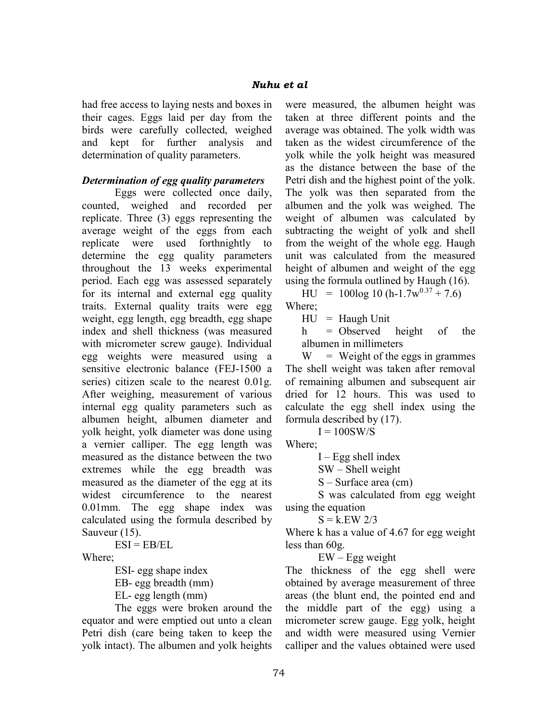had free access to laying nests and boxes in their cages. Eggs laid per day from the birds were carefully collected, weighed and kept for further analysis and determination of quality parameters.

### Determination of egg quality parameters

Eggs were collected once daily, counted, weighed and recorded per replicate. Three (3) eggs representing the average weight of the eggs from each replicate were used forthnightly to determine the egg quality parameters throughout the 13 weeks experimental period. Each egg was assessed separately for its internal and external egg quality traits. External quality traits were egg weight, egg length, egg breadth, egg shape index and shell thickness (was measured with micrometer screw gauge). Individual egg weights were measured using a sensitive electronic balance (FEJ-1500 a series) citizen scale to the nearest 0.01g. After weighing, measurement of various internal egg quality parameters such as albumen height, albumen diameter and yolk height, yolk diameter was done using a vernier calliper. The egg length was measured as the distance between the two extremes while the egg breadth was measured as the diameter of the egg at its widest circumference to the nearest 0.01mm. The egg shape index was calculated using the formula described by Sauveur (15).

 $ESI = ER/EI$ .

Where;

ESI- egg shape index

EB- egg breadth (mm)

EL- egg length (mm)

The eggs were broken around the equator and were emptied out unto a clean Petri dish (care being taken to keep the yolk intact). The albumen and yolk heights were measured, the albumen height was taken at three different points and the average was obtained. The yolk width was taken as the widest circumference of the yolk while the yolk height was measured as the distance between the base of the Petri dish and the highest point of the yolk. The yolk was then separated from the albumen and the yolk was weighed. The weight of albumen was calculated by subtracting the weight of yolk and shell from the weight of the whole egg. Haugh unit was calculated from the measured height of albumen and weight of the egg using the formula outlined by Haugh (16).

 $HU = 100log 10 (h-1.7w^{0.37} + 7.6)$ Where;

 $HU = Haugh Unit$ 

 $h$  = Observed height of the albumen in millimeters

 $W = Weight of the eggs in grammes$ The shell weight was taken after removal of remaining albumen and subsequent air dried for 12 hours. This was used to calculate the egg shell index using the formula described by (17).

 $I = 100$ SW/S

Where;

 $I - Egg$  shell index

SW – Shell weight

S – Surface area (cm)

S was calculated from egg weight using the equation

 $S = k.EW 2/3$ 

Where k has a value of 4.67 for egg weight less than 60g.

 $EW - Egg$  weight

The thickness of the egg shell were obtained by average measurement of three areas (the blunt end, the pointed end and the middle part of the egg) using a micrometer screw gauge. Egg yolk, height and width were measured using Vernier calliper and the values obtained were used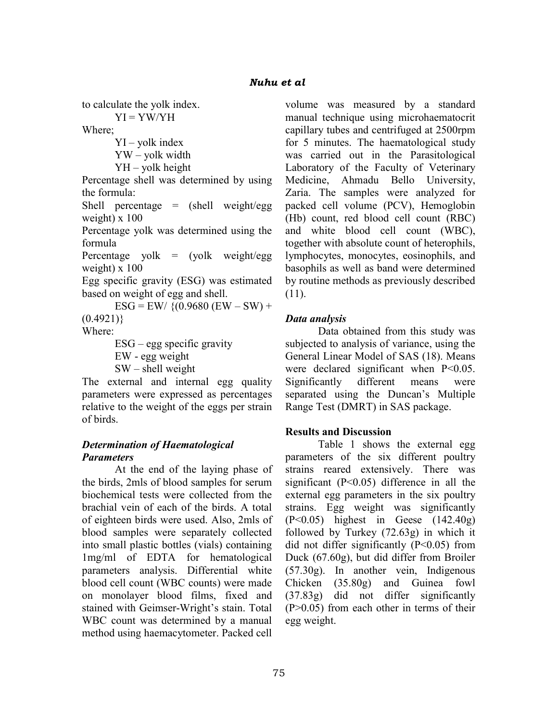to calculate the yolk index.

 $YI = YW/YH$ 

Where;

 $YI - yolk$  index YW – yolk width

YH – yolk height

Percentage shell was determined by using the formula:

Shell percentage = (shell weight/egg weight)  $x 100$ 

Percentage yolk was determined using the formula

Percentage yolk  $=$  (yolk weight/egg weight)  $x 100$ 

Egg specific gravity (ESG) was estimated based on weight of egg and shell.

 $ESG = EW/$  {(0.9680 (EW – SW) +  $(0.4921)$ Where:

ESG – egg specific gravity EW - egg weight  $SW - shell$  weight

The external and internal egg quality parameters were expressed as percentages relative to the weight of the eggs per strain of birds.

## Determination of Haematological **Parameters**

At the end of the laying phase of the birds, 2mls of blood samples for serum biochemical tests were collected from the brachial vein of each of the birds. A total of eighteen birds were used. Also, 2mls of blood samples were separately collected into small plastic bottles (vials) containing 1mg/ml of EDTA for hematological parameters analysis. Differential white blood cell count (WBC counts) were made on monolayer blood films, fixed and stained with Geimser-Wright's stain. Total WBC count was determined by a manual method using haemacytometer. Packed cell

volume was measured by a standard manual technique using microhaematocrit capillary tubes and centrifuged at 2500rpm for 5 minutes. The haematological study was carried out in the Parasitological Laboratory of the Faculty of Veterinary Medicine, Ahmadu Bello University, Zaria. The samples were analyzed for packed cell volume (PCV), Hemoglobin (Hb) count, red blood cell count (RBC) and white blood cell count (WBC), together with absolute count of heterophils, lymphocytes, monocytes, eosinophils, and basophils as well as band were determined by routine methods as previously described (11).

# Data analysis

Data obtained from this study was subjected to analysis of variance, using the General Linear Model of SAS (18). Means were declared significant when P<0.05. Significantly different means were separated using the Duncan's Multiple Range Test (DMRT) in SAS package.

## Results and Discussion

Table 1 shows the external egg parameters of the six different poultry strains reared extensively. There was significant  $(P<0.05)$  difference in all the external egg parameters in the six poultry strains. Egg weight was significantly (P<0.05) highest in Geese (142.40g) followed by Turkey (72.63g) in which it did not differ significantly  $(P<0.05)$  from Duck (67.60g), but did differ from Broiler (57.30g). In another vein, Indigenous Chicken (35.80g) and Guinea fowl (37.83g) did not differ significantly (P>0.05) from each other in terms of their egg weight.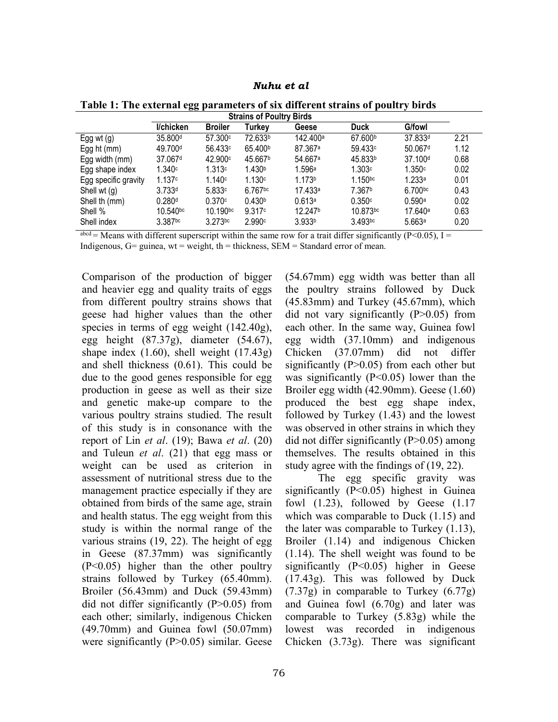Nuhu et al

| <b>Strains of Poultry Birds</b> |                        |                     |                       |                      |                     |                     |      |
|---------------------------------|------------------------|---------------------|-----------------------|----------------------|---------------------|---------------------|------|
|                                 | I/chicken              | <b>Broiler</b>      | Turkey                | Geese                | <b>Duck</b>         | <b>G/fowl</b>       |      |
| Egg wt $(g)$                    | 35.800 <sup>d</sup>    | 57.300c             | 72.633b               | 142.400 <sup>a</sup> | 67.600b             | 37.833d             | 2.21 |
| Egg ht $(mm)$                   | 49.700 <sup>d</sup>    | 56.433 <sup>c</sup> | 65.400 <sup>b</sup>   | 87.367 <sup>a</sup>  | 59.433 <sup>c</sup> | 50.067 <sup>d</sup> | 1.12 |
| Egg width (mm)                  | 37.067 <sup>d</sup>    | 42.900c             | 45.667 <sup>b</sup>   | 54.667 <sup>a</sup>  | 45.833b             | 37.100 <sup>d</sup> | 0.68 |
| Egg shape index                 | 1.340c                 | 1.313c              | 1.430 <sup>b</sup>    | 1.596a               | 1.303c              | 1.350c              | 0.02 |
| Egg specific gravity            | 1.137c                 | 1.140c              | 1.130c                | 1.173 <sup>b</sup>   | $1.150^{bc}$        | 1.233a              | 0.01 |
| Shell wt $(q)$                  | 3.733d                 | 5.833c              | $6.767$ <sub>bc</sub> | 17.433a              | 7.367b              | 6.700bc             | 0.43 |
| Shell th (mm)                   | 0.280 <sup>d</sup>     | 0.370c              | 0.430 <sup>b</sup>    | 0.613a               | 0.350c              | 0.590a              | 0.02 |
| Shell %                         | $10.540$ <sub>bc</sub> | 10.190bc            | 9.317c                | 12.247 <sup>b</sup>  | 10.873bc            | 17.640a             | 0.63 |
| Shell index                     | 3.387bc                | $3.273$ bc          | 2.990c                | 3.933 <sup>b</sup>   | 3.493bc             | 5.663a              | 0.20 |

Table 1: The external egg parameters of six different strains of poultry birds

 $a<sup>abcd</sup> =$  Means with different superscript within the same row for a trait differ significantly (P<0.05), I = Indigenous,  $G=$  guinea, wt = weight, th = thickness, SEM = Standard error of mean.

Comparison of the production of bigger and heavier egg and quality traits of eggs from different poultry strains shows that geese had higher values than the other species in terms of egg weight (142.40g), egg height (87.37g), diameter (54.67), shape index  $(1.60)$ , shell weight  $(17.43g)$ and shell thickness (0.61). This could be due to the good genes responsible for egg production in geese as well as their size and genetic make-up compare to the various poultry strains studied. The result of this study is in consonance with the report of Lin et al.  $(19)$ ; Bawa et al.  $(20)$ and Tuleun et al. (21) that egg mass or weight can be used as criterion in assessment of nutritional stress due to the management practice especially if they are obtained from birds of the same age, strain and health status. The egg weight from this study is within the normal range of the various strains (19, 22). The height of egg in Geese (87.37mm) was significantly (P<0.05) higher than the other poultry strains followed by Turkey (65.40mm). Broiler (56.43mm) and Duck (59.43mm) did not differ significantly (P>0.05) from each other; similarly, indigenous Chicken (49.70mm) and Guinea fowl (50.07mm) were significantly (P>0.05) similar. Geese

(54.67mm) egg width was better than all the poultry strains followed by Duck (45.83mm) and Turkey (45.67mm), which did not vary significantly  $(P>0.05)$  from each other. In the same way, Guinea fowl egg width (37.10mm) and indigenous Chicken (37.07mm) did not differ significantly  $(P>0.05)$  from each other but was significantly  $(P<0.05)$  lower than the Broiler egg width (42.90mm). Geese (1.60) produced the best egg shape index, followed by Turkey (1.43) and the lowest was observed in other strains in which they did not differ significantly (P>0.05) among themselves. The results obtained in this study agree with the findings of (19, 22).

The egg specific gravity was significantly (P<0.05) highest in Guinea fowl (1.23), followed by Geese (1.17 which was comparable to Duck  $(1.15)$  and the later was comparable to Turkey (1.13), Broiler (1.14) and indigenous Chicken (1.14). The shell weight was found to be significantly (P<0.05) higher in Geese (17.43g). This was followed by Duck (7.37g) in comparable to Turkey (6.77g) and Guinea fowl (6.70g) and later was comparable to Turkey (5.83g) while the lowest was recorded in indigenous Chicken (3.73g). There was significant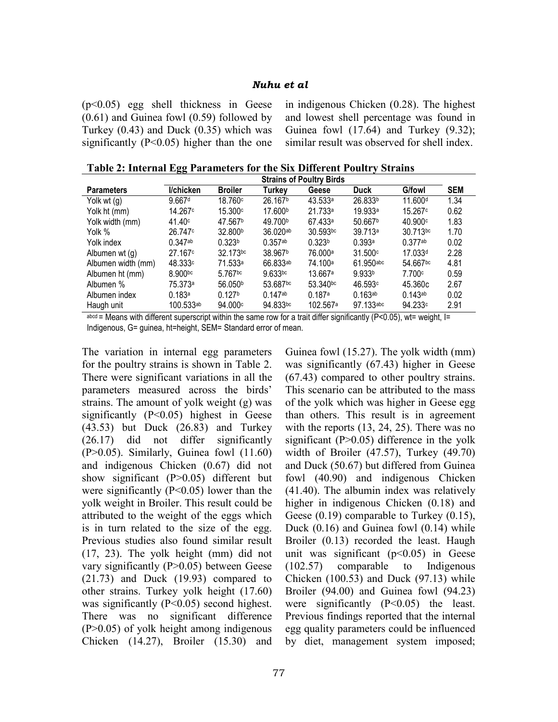#### Nuhu et al

(p<0.05) egg shell thickness in Geese (0.61) and Guinea fowl (0.59) followed by Turkey (0.43) and Duck (0.35) which was significantly  $(P<0.05)$  higher than the one

in indigenous Chicken (0.28). The highest and lowest shell percentage was found in Guinea fowl (17.64) and Turkey (9.32); similar result was observed for shell index.

Table 2: Internal Egg Parameters for the Six Different Poultry Strains

|                    | <b>Strains of Poultry Birds</b> |                       |                       |                        |                       |                       |            |  |
|--------------------|---------------------------------|-----------------------|-----------------------|------------------------|-----------------------|-----------------------|------------|--|
| <b>Parameters</b>  | I/chicken                       | <b>Broiler</b>        | Turkey                | Geese                  | Duck                  | <b>G/fowl</b>         | <b>SEM</b> |  |
| Yolk wt $(g)$      | 9.667 <sup>d</sup>              | 18.760c               | 26.167 <sup>b</sup>   | 43.533a                | 26.833b               | 11.600 <sup>d</sup>   | 1.34       |  |
| Yolk ht (mm)       | 14.267°                         | 15.300 <sup>c</sup>   | 17.600 <sup>b</sup>   | 21.733a                | 19.933 <sup>a</sup>   | 15.267 <sup>c</sup>   | 0.62       |  |
| Yolk width (mm)    | 41.40 <sup>c</sup>              | 47.567 <sup>b</sup>   | 49.700 <sup>b</sup>   | 67.433 <sup>a</sup>    | 50.667 <sup>b</sup>   | 40.900c               | 1.83       |  |
| Yolk %             | 26.747c                         | 32.800 <sup>b</sup>   | 36.020ab              | $30.593$ bc            | 39.713 <sup>a</sup>   | 30.713bc              | 1.70       |  |
| Yolk index         | $0.347$ ab                      | 0.323 <sup>b</sup>    | $0.357$ <sup>ab</sup> | 0.323 <sup>b</sup>     | 0.393a                | $0.377$ ab            | 0.02       |  |
| Albumen wt (g)     | 27.167c                         | 32.173bc              | 38.967b               | 76.000a                | 31.500c               | 17.033 <sup>d</sup>   | 2.28       |  |
| Albumen width (mm) | 48.333c                         | 71.533 <sup>a</sup>   | 66.833ab              | 74.100 <sup>a</sup>    | $61.950$ abc          | 54.667bc              | 4.81       |  |
| Albumen ht (mm)    | 8.900 <sub>bc</sub>             | $5.767$ <sub>bc</sub> | 9.633 <sub>bc</sub>   | 13.667a                | 9.933 <sup>b</sup>    | 7.700c                | 0.59       |  |
| Albumen %          | 75.373ª                         | 56.050 <sup>b</sup>   | 53.687bc              | $53.340$ <sub>bc</sub> | 46.593c               | 45.360c               | 2.67       |  |
| Albumen index      | 0.183a                          | 0.127 <sup>b</sup>    | $0.147$ ab            | 0.187a                 | $0.163$ <sup>ab</sup> | $0.143$ <sup>ab</sup> | 0.02       |  |
| Haugh unit         | $100.533$ ab                    | 94.000c               | 94.833bc              | 102.567 <sup>a</sup>   | 97.133abc             | 94.233c               | 2.91       |  |

abcd = Means with different superscript within the same row for a trait differ significantly (P<0.05), wt= weight,  $I =$ Indigenous, G= guinea, ht=height, SEM= Standard error of mean.

The variation in internal egg parameters for the poultry strains is shown in Table 2. There were significant variations in all the parameters measured across the birds' strains. The amount of yolk weight (g) was significantly (P<0.05) highest in Geese (43.53) but Duck (26.83) and Turkey (26.17) did not differ significantly (P>0.05). Similarly, Guinea fowl (11.60) and indigenous Chicken (0.67) did not show significant (P>0.05) different but were significantly  $(P<0.05)$  lower than the yolk weight in Broiler. This result could be attributed to the weight of the eggs which is in turn related to the size of the egg. Previous studies also found similar result (17, 23). The yolk height (mm) did not vary significantly (P>0.05) between Geese (21.73) and Duck (19.93) compared to other strains. Turkey yolk height (17.60) was significantly  $(P<0.05)$  second highest. There was no significant difference (P>0.05) of yolk height among indigenous Chicken (14.27), Broiler (15.30) and

Guinea fowl (15.27). The yolk width (mm) was significantly (67.43) higher in Geese (67.43) compared to other poultry strains. This scenario can be attributed to the mass of the yolk which was higher in Geese egg than others. This result is in agreement with the reports (13, 24, 25). There was no significant  $(P>0.05)$  difference in the yolk width of Broiler (47.57), Turkey (49.70) and Duck (50.67) but differed from Guinea fowl (40.90) and indigenous Chicken (41.40). The albumin index was relatively higher in indigenous Chicken (0.18) and Geese (0.19) comparable to Turkey (0.15), Duck (0.16) and Guinea fowl (0.14) while Broiler (0.13) recorded the least. Haugh unit was significant  $(p<0.05)$  in Geese (102.57) comparable to Indigenous Chicken (100.53) and Duck (97.13) while Broiler (94.00) and Guinea fowl (94.23) were significantly  $(P<0.05)$  the least. Previous findings reported that the internal egg quality parameters could be influenced by diet, management system imposed;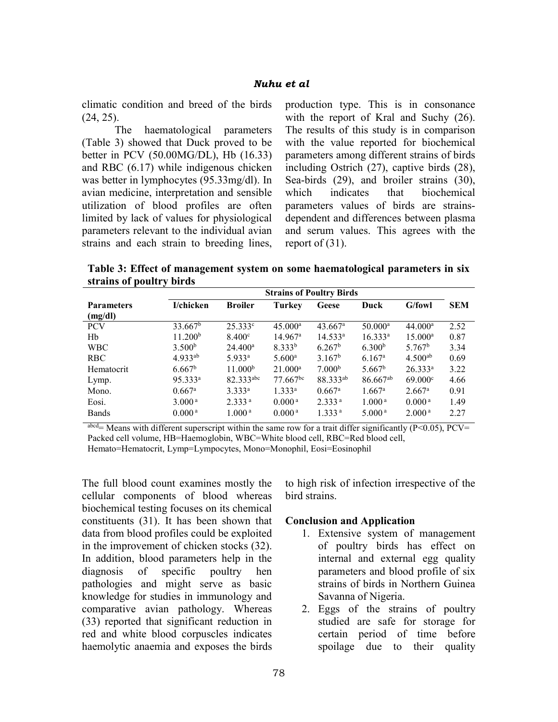climatic condition and breed of the birds (24, 25).

The haematological parameters (Table 3) showed that Duck proved to be better in PCV (50.00MG/DL), Hb (16.33) and RBC (6.17) while indigenous chicken was better in lymphocytes (95.33mg/dl). In avian medicine, interpretation and sensible utilization of blood profiles are often limited by lack of values for physiological parameters relevant to the individual avian strains and each strain to breeding lines, production type. This is in consonance with the report of Kral and Suchy  $(26)$ . The results of this study is in comparison with the value reported for biochemical parameters among different strains of birds including Ostrich (27), captive birds (28), Sea-birds (29), and broiler strains (30), which indicates that biochemical parameters values of birds are strainsdependent and differences between plasma and serum values. This agrees with the report of (31).

Table 3: Effect of management system on some haematological parameters in six strains of poultry birds

|                   | <b>Strains of Poultry Birds</b> |                     |                        |                       |                    |                    |            |
|-------------------|---------------------------------|---------------------|------------------------|-----------------------|--------------------|--------------------|------------|
| <b>Parameters</b> | I/chicken                       | <b>Broiler</b>      | Turkey                 | Geese                 | Duck               | G/fowl             | <b>SEM</b> |
| (mg/dl)           |                                 |                     |                        |                       |                    |                    |            |
| <b>PCV</b>        | 33.667 <sup>b</sup>             | $25.333^{\circ}$    | $45.000^{\rm a}$       | $43.667$ <sup>a</sup> | $50.000^{\rm a}$   | $44.000^{\rm a}$   | 2.52       |
| Hb                | 11.200 <sup>b</sup>             | 8.400 <sup>c</sup>  | $14.967^{\rm a}$       | $14.533^{\rm a}$      | $16.333^{a}$       | $15.000^{\rm a}$   | 0.87       |
| <b>WBC</b>        | 3.500 <sup>b</sup>              | $24.400^{\rm a}$    | 8.333 <sup>b</sup>     | 6.267 <sup>b</sup>    | 6.300 <sup>b</sup> | 5.767 <sup>b</sup> | 3.34       |
| <b>RBC</b>        | $4.933^{ab}$                    | 5.933a              | $5.600^{\rm a}$        | 3.167 <sup>b</sup>    | $6.167^{\rm a}$    | $4.500^{ab}$       | 0.69       |
| Hematocrit        | $6.667^{\rm b}$                 | 11.000 <sup>b</sup> | $21.000^a$             | 7.000 <sup>b</sup>    | 5.667 <sup>b</sup> | $26.333^a$         | 3.22       |
| Lymp.             | $95.333^a$                      | 82.333abc           | $77.667$ <sup>bc</sup> | 88.333ab              | $86.667^{ab}$      | $69.000^{\circ}$   | 4.66       |
| Mono.             | $0.667$ <sup>a</sup>            | $3.333^{a}$         | $1.333^{a}$            | $0.667$ <sup>a</sup>  | $1.667^{\rm a}$    | $2.667^{\rm a}$    | 0.91       |
| Eosi.             | 3.000 <sup>a</sup>              | 2.333 <sup>a</sup>  | 0.000 <sup>a</sup>     | 2.333 <sup>a</sup>    | 1.000 <sup>a</sup> | 0.000 <sup>a</sup> | 1.49       |
| <b>Bands</b>      | 0.000 <sup>a</sup>              | 1.000 <sup>a</sup>  | 0.000 <sup>a</sup>     | 1.333 <sup>a</sup>    | 5.000 <sup>a</sup> | 2.000 <sup>a</sup> | 2.27       |

 $a<sub>bc</sub> = Means$  with different superscript within the same row for a trait differ significantly (P<0.05), PCV= Packed cell volume, HB=Haemoglobin, WBC=White blood cell, RBC=Red blood cell, Hemato=Hematocrit, Lymp=Lympocytes, Mono=Monophil, Eosi=Eosinophil

The full blood count examines mostly the cellular components of blood whereas biochemical testing focuses on its chemical constituents (31). It has been shown that data from blood profiles could be exploited in the improvement of chicken stocks (32). In addition, blood parameters help in the diagnosis of specific poultry hen pathologies and might serve as basic knowledge for studies in immunology and comparative avian pathology. Whereas (33) reported that significant reduction in red and white blood corpuscles indicates haemolytic anaemia and exposes the birds to high risk of infection irrespective of the bird strains.

#### Conclusion and Application

- 1. Extensive system of management of poultry birds has effect on internal and external egg quality parameters and blood profile of six strains of birds in Northern Guinea Savanna of Nigeria.
- 2. Eggs of the strains of poultry studied are safe for storage for certain period of time before spoilage due to their quality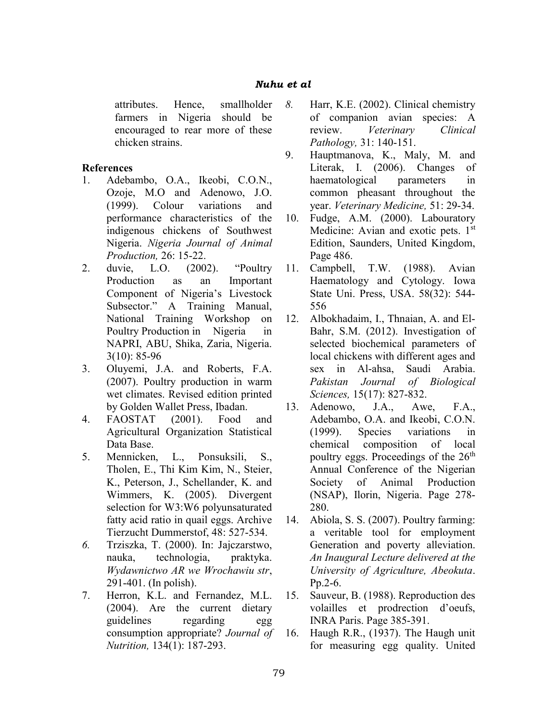### Nuhu et al

attributes. Hence, smallholder farmers in Nigeria should be encouraged to rear more of these chicken strains.

#### References

- 1. Adebambo, O.A., Ikeobi, C.O.N., Ozoje, M.O and Adenowo, J.O. (1999). Colour variations and performance characteristics of the indigenous chickens of Southwest Nigeria. Nigeria Journal of Animal Production, 26: 15-22.
- 2. duvie, L.O. (2002). "Poultry Production as an Important Component of Nigeria's Livestock Subsector." A Training Manual, National Training Workshop on Poultry Production in Nigeria in NAPRI, ABU, Shika, Zaria, Nigeria. 3(10): 85-96
- 3. Oluyemi, J.A. and Roberts, F.A. (2007). Poultry production in warm wet climates. Revised edition printed by Golden Wallet Press, Ibadan.
- 4. FAOSTAT (2001). Food and Agricultural Organization Statistical Data Base.
- 5. Mennicken, L., Ponsuksili, S., Tholen, E., Thi Kim Kim, N., Steier, K., Peterson, J., Schellander, K. and Wimmers, K. (2005). Divergent selection for W3:W6 polyunsaturated fatty acid ratio in quail eggs. Archive Tierzucht Dummerstof, 48: 527-534.
- 6. Trziszka, T. (2000). In: Jajczarstwo, nauka, technologia, praktyka. Wydawnictwo AR we Wrochawiu str, 291-401. (In polish).
- 7. Herron, K.L. and Fernandez, M.L. (2004). Are the current dietary guidelines regarding egg consumption appropriate? Journal of Nutrition, 134(1): 187-293.
- 8. Harr, K.E. (2002). Clinical chemistry of companion avian species: A review. Veterinary Clinical Pathology, 31: 140-151.
- 9. Hauptmanova, K., Maly, M. and Literak, I. (2006). Changes of haematological parameters in common pheasant throughout the year. Veterinary Medicine, 51: 29-34.
- 10. Fudge, A.M. (2000). Labouratory Medicine: Avian and exotic pets. 1<sup>st</sup> Edition, Saunders, United Kingdom, Page 486.
- 11. Campbell, T.W. (1988). Avian Haematology and Cytology. Iowa State Uni. Press, USA. 58(32): 544- 556
- 12. Albokhadaim, I., Thnaian, A. and El-Bahr, S.M. (2012). Investigation of selected biochemical parameters of local chickens with different ages and sex in Al-ahsa, Saudi Arabia. Pakistan Journal of Biological Sciences, 15(17): 827-832.
- 13. Adenowo, J.A., Awe, F.A., Adebambo, O.A. and Ikeobi, C.O.N. (1999). Species variations in chemical composition of local poultry eggs. Proceedings of the  $26<sup>th</sup>$ Annual Conference of the Nigerian Society of Animal Production (NSAP), Ilorin, Nigeria. Page 278- 280.
- 14. Abiola, S. S. (2007). Poultry farming: a veritable tool for employment Generation and poverty alleviation. An Inaugural Lecture delivered at the University of Agriculture, Abeokuta. Pp.2-6.
- 15. Sauveur, B. (1988). Reproduction des volailles et prodrection d'oeufs, INRA Paris. Page 385-391.
- 16. Haugh R.R., (1937). The Haugh unit for measuring egg quality. United